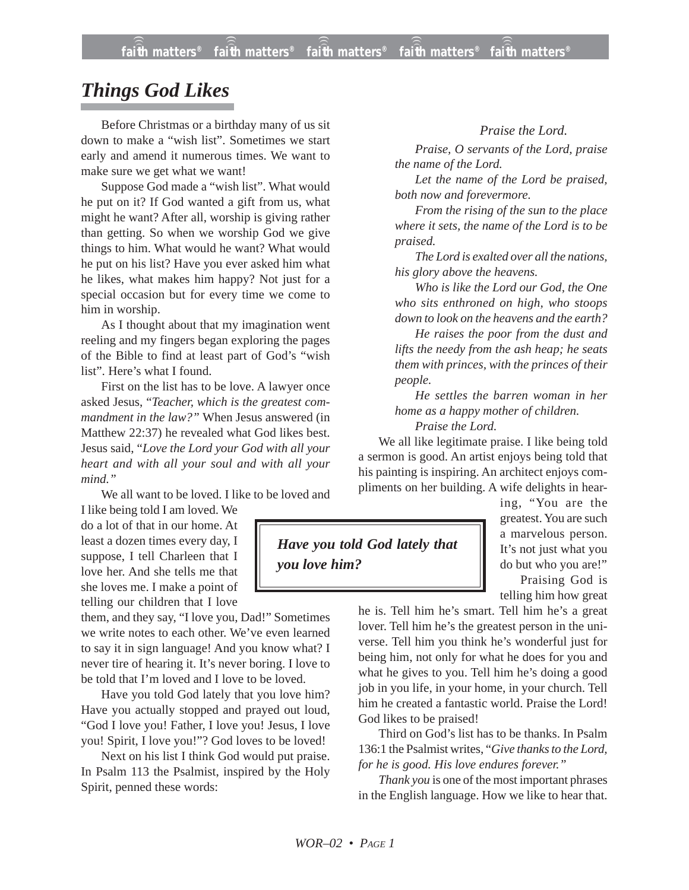## *Things God Likes*

Before Christmas or a birthday many of us sit down to make a "wish list". Sometimes we start early and amend it numerous times. We want to make sure we get what we want!

Suppose God made a "wish list". What would he put on it? If God wanted a gift from us, what might he want? After all, worship is giving rather than getting. So when we worship God we give things to him. What would he want? What would he put on his list? Have you ever asked him what he likes, what makes him happy? Not just for a special occasion but for every time we come to him in worship.

As I thought about that my imagination went reeling and my fingers began exploring the pages of the Bible to find at least part of God's "wish list". Here's what I found.

First on the list has to be love. A lawyer once asked Jesus, "*Teacher, which is the greatest commandment in the law?"* When Jesus answered (in Matthew 22:37) he revealed what God likes best. Jesus said, "*Love the Lord your God with all your heart and with all your soul and with all your mind."*

We all want to be loved. I like to be loved and

I like being told I am loved. We do a lot of that in our home. At least a dozen times every day, I suppose, I tell Charleen that I love her. And she tells me that she loves me. I make a point of telling our children that I love

them, and they say, "I love you, Dad!" Sometimes we write notes to each other. We've even learned to say it in sign language! And you know what? I never tire of hearing it. It's never boring. I love to be told that I'm loved and I love to be loved.

Have you told God lately that you love him? Have you actually stopped and prayed out loud, "God I love you! Father, I love you! Jesus, I love you! Spirit, I love you!"? God loves to be loved!

Next on his list I think God would put praise. In Psalm 113 the Psalmist, inspired by the Holy Spirit, penned these words:

## *Praise the Lord.*

*Praise, O servants of the Lord, praise the name of the Lord.*

*Let the name of the Lord be praised, both now and forevermore.*

*From the rising of the sun to the place where it sets, the name of the Lord is to be praised.*

*The Lord is exalted over all the nations, his glory above the heavens.*

*Who is like the Lord our God, the One who sits enthroned on high, who stoops down to look on the heavens and the earth?*

*He raises the poor from the dust and lifts the needy from the ash heap; he seats them with princes, with the princes of their people.*

*He settles the barren woman in her home as a happy mother of children. Praise the Lord.*

We all like legitimate praise. I like being told a sermon is good. An artist enjoys being told that his painting is inspiring. An architect enjoys compliments on her building. A wife delights in hear-



ing, "You are the greatest. You are such a marvelous person. It's not just what you do but who you are!" Praising God is

telling him how great

he is. Tell him he's smart. Tell him he's a great lover. Tell him he's the greatest person in the universe. Tell him you think he's wonderful just for being him, not only for what he does for you and what he gives to you. Tell him he's doing a good job in you life, in your home, in your church. Tell him he created a fantastic world. Praise the Lord! God likes to be praised!

Third on God's list has to be thanks. In Psalm 136:1 the Psalmist writes, "*Give thanks to the Lord, for he is good. His love endures forever."*

*Thank you* is one of the most important phrases in the English language. How we like to hear that.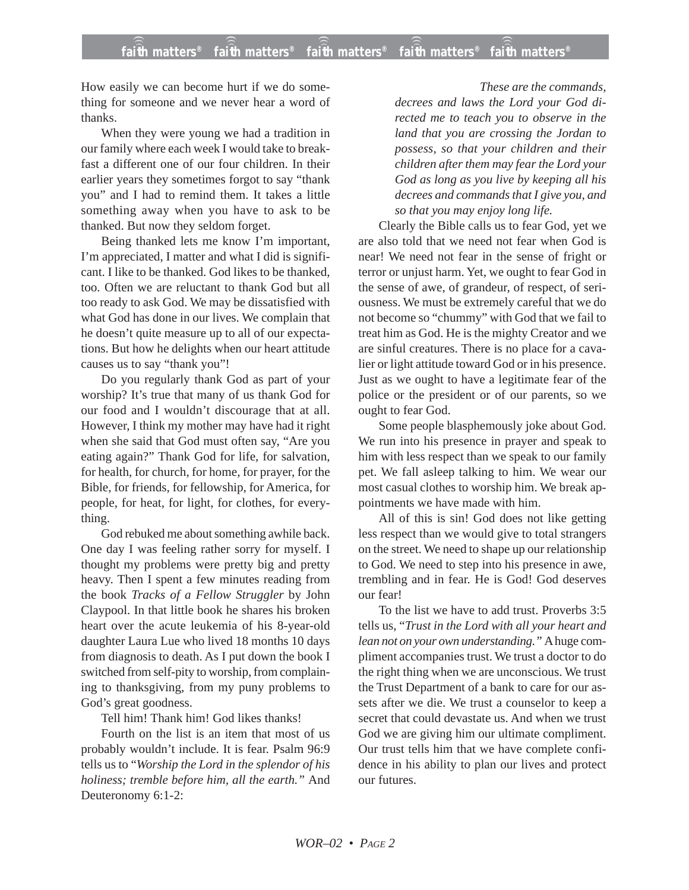How easily we can become hurt if we do something for someone and we never hear a word of thanks.

When they were young we had a tradition in our family where each week I would take to breakfast a different one of our four children. In their earlier years they sometimes forgot to say "thank you" and I had to remind them. It takes a little something away when you have to ask to be thanked. But now they seldom forget.

Being thanked lets me know I'm important, I'm appreciated, I matter and what I did is significant. I like to be thanked. God likes to be thanked, too. Often we are reluctant to thank God but all too ready to ask God. We may be dissatisfied with what God has done in our lives. We complain that he doesn't quite measure up to all of our expectations. But how he delights when our heart attitude causes us to say "thank you"!

Do you regularly thank God as part of your worship? It's true that many of us thank God for our food and I wouldn't discourage that at all. However, I think my mother may have had it right when she said that God must often say, "Are you eating again?" Thank God for life, for salvation, for health, for church, for home, for prayer, for the Bible, for friends, for fellowship, for America, for people, for heat, for light, for clothes, for everything.

God rebuked me about something awhile back. One day I was feeling rather sorry for myself. I thought my problems were pretty big and pretty heavy. Then I spent a few minutes reading from the book *Tracks of a Fellow Struggler* by John Claypool. In that little book he shares his broken heart over the acute leukemia of his 8-year-old daughter Laura Lue who lived 18 months 10 days from diagnosis to death. As I put down the book I switched from self-pity to worship, from complaining to thanksgiving, from my puny problems to God's great goodness.

Tell him! Thank him! God likes thanks!

Fourth on the list is an item that most of us probably wouldn't include. It is fear. Psalm 96:9 tells us to "*Worship the Lord in the splendor of his holiness; tremble before him, all the earth."* And Deuteronomy 6:1-2:

*These are the commands, decrees and laws the Lord your God directed me to teach you to observe in the land that you are crossing the Jordan to possess, so that your children and their children after them may fear the Lord your God as long as you live by keeping all his decrees and commands that I give you, and so that you may enjoy long life.*

Clearly the Bible calls us to fear God, yet we are also told that we need not fear when God is near! We need not fear in the sense of fright or terror or unjust harm. Yet, we ought to fear God in the sense of awe, of grandeur, of respect, of seriousness. We must be extremely careful that we do not become so "chummy" with God that we fail to treat him as God. He is the mighty Creator and we are sinful creatures. There is no place for a cavalier or light attitude toward God or in his presence. Just as we ought to have a legitimate fear of the police or the president or of our parents, so we ought to fear God.

Some people blasphemously joke about God. We run into his presence in prayer and speak to him with less respect than we speak to our family pet. We fall asleep talking to him. We wear our most casual clothes to worship him. We break appointments we have made with him.

All of this is sin! God does not like getting less respect than we would give to total strangers on the street. We need to shape up our relationship to God. We need to step into his presence in awe, trembling and in fear. He is God! God deserves our fear!

To the list we have to add trust. Proverbs 3:5 tells us, "*Trust in the Lord with all your heart and lean not on your own understanding."* A huge compliment accompanies trust. We trust a doctor to do the right thing when we are unconscious. We trust the Trust Department of a bank to care for our assets after we die. We trust a counselor to keep a secret that could devastate us. And when we trust God we are giving him our ultimate compliment. Our trust tells him that we have complete confidence in his ability to plan our lives and protect our futures.